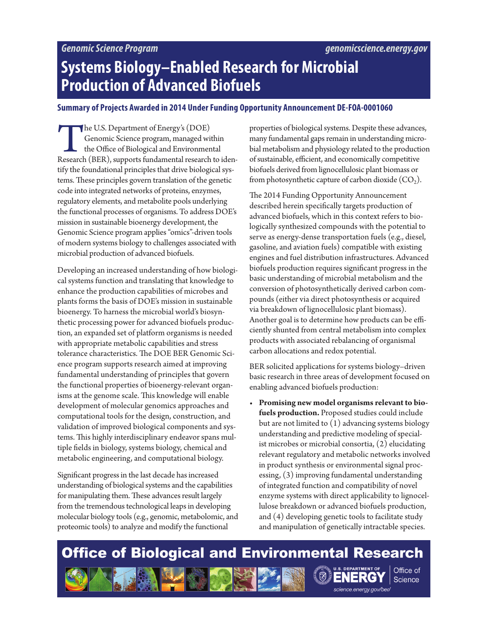# **Systems Biology–Enabled Research for Microbial Production of Advanced Biofuels**

#### **Summary of Projects Awarded in 2014 Under Funding Opportunity Announcement DE-FOA-0001060**

The U.S. Department of Energy's (DOE) Genomic Science program, managed within the Office of Biological and Environmental Research (BER), supports fundamental research to identify the foundational principles that drive biological systems. These principles govern translation of the genetic code into integrated networks of proteins, enzymes, regulatory elements, and metabolite pools underlying the functional processes of organisms. To address DOE's mission in sustainable bioenergy development, the Genomic Science program applies "omics"-driven tools of modern systems biology to challenges associated with microbial production of advanced biofuels.

Developing an increased understanding of how biological systems function and translating that knowledge to enhance the production capabilities of microbes and plants forms the basis of DOE's mission in sustainable bioenergy. To harness the microbial world's biosynthetic processing power for advanced biofuels production, an expanded set of platform organisms is needed with appropriate metabolic capabilities and stress tolerance characteristics. The DOE BER Genomic Science program supports research aimed at improving fundamental understanding of principles that govern the functional properties of bioenergy-relevant organisms at the genome scale. This knowledge will enable development of molecular genomics approaches and computational tools for the design, construction, and validation of improved biological components and systems. This highly interdisciplinary endeavor spans multiple fields in biology, systems biology, chemical and metabolic engineering, and computational biology.

Significant progress in the last decade has increased understanding of biological systems and the capabilities for manipulating them. These advances result largely from the tremendous technological leaps in developing molecular biology tools (e.g., genomic, metabolomic, and proteomic tools) to analyze and modify the functional

properties of biological systems. Despite these advances, many fundamental gaps remain in understanding microbial metabolism and physiology related to the production of sustainable, efficient, and economically competitive biofuels derived from lignocellulosic plant biomass or from photosynthetic capture of carbon dioxide  $(CO<sub>2</sub>)$ .

The 2014 Funding Opportunity Announcement described herein specifically targets production of advanced biofuels, which in this context refers to biologically synthesized compounds with the potential to serve as energy-dense transportation fuels (e.g., diesel, gasoline, and aviation fuels) compatible with existing engines and fuel distribution infrastructures. Advanced biofuels production requires significant progress in the basic understanding of microbial metabolism and the conversion of photosynthetically derived carbon compounds (either via direct photosynthesis or acquired via breakdown of lignocellulosic plant biomass). Another goal is to determine how products can be efficiently shunted from central metabolism into complex products with associated rebalancing of organismal carbon allocations and redox potential.

BER solicited applications for systems biology–driven basic research in three areas of development focused on enabling advanced biofuels production:

• **Promising new model organisms relevant to biofuels production.** Proposed studies could include but are not limited to (1) advancing systems biology understanding and predictive modeling of specialist microbes or microbial consortia, (2) elucidating relevant regulatory and metabolic networks involved in product synthesis or environmental signal processing, (3) improving fundamental understanding of integrated function and compatibility of novel enzyme systems with direct applicability to lignocellulose breakdown or advanced biofuels production, and (4) developing genetic tools to facilitate study and manipulation of genetically intractable species.

science.energy.gov/ber/

**Science** 

## **Office of Biological and Environmental Research** Office of ERG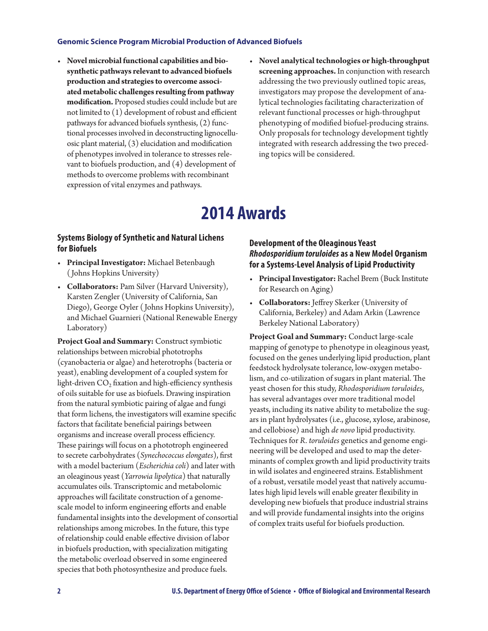- **Novel microbial functional capabilities and biosynthetic pathways relevant to advanced biofuels production and strategies to overcome associated metabolic challenges resulting from pathway modification.** Proposed studies could include but are not limited to (1) development of robust and efficient pathways for advanced biofuels synthesis, (2) functional processes involved in deconstructing lignocelluosic plant material, (3) elucidation and modification of phenotypes involved in tolerance to stresses relevant to biofuels production, and (4) development of methods to overcome problems with recombinant expression of vital enzymes and pathways.
- **Novel analytical technologies or high-throughput screening approaches.** In conjunction with research addressing the two previously outlined topic areas, investigators may propose the development of analytical technologies facilitating characterization of relevant functional processes or high-throughput phenotyping of modified biofuel-producing strains. Only proposals for technology development tightly integrated with research addressing the two preceding topics will be considered.

## **2014 Awards**

#### **Systems Biology of Synthetic and Natural Lichens for Biofuels**

- **Principal Investigator:** Michael Betenbaugh ( Johns Hopkins University)
- **Collaborators:** Pam Silver (Harvard University), Karsten Zengler (University of California, San Diego), George Oyler ( Johns Hopkins University), and Michael Guarnieri (National Renewable Energy Laboratory)

**Project Goal and Summary:** Construct symbiotic relationships between microbial phototrophs (cyanobacteria or algae) and heterotrophs (bacteria or yeast), enabling development of a coupled system for light-driven  $CO<sub>2</sub>$  fixation and high-efficiency synthesis of oils suitable for use as biofuels. Drawing inspiration from the natural symbiotic pairing of algae and fungi that form lichens, the investigators will examine specific factors that facilitate beneficial pairings between organisms and increase overall process efficiency. These pairings will focus on a phototroph engineered to secrete carbohydrates (*Synechococcus elongates*), first with a model bacterium (*Escherichia coli*) and later with an oleaginous yeast (*Yarrowia lipolytica*) that naturally accumulates oils. Transcriptomic and metabolomic approaches will facilitate construction of a genomescale model to inform engineering efforts and enable fundamental insights into the development of consortial relationships among microbes. In the future, this type of relationship could enable effective division of labor in biofuels production, with specialization mitigating the metabolic overload observed in some engineered species that both photosynthesize and produce fuels.

## **Development of the Oleaginous Yeast**  *Rhodosporidium toruloides* **as a New Model Organism for a Systems-Level Analysis of Lipid Productivity**

- **Principal Investigator:** Rachel Brem (Buck Institute for Research on Aging)
- **Collaborators:** Jeffrey Skerker (University of California, Berkeley) and Adam Arkin (Lawrence Berkeley National Laboratory)

**Project Goal and Summary:** Conduct large-scale mapping of genotype to phenotype in oleaginous yeast*,*  focused on the genes underlying lipid production, plant feedstock hydrolysate tolerance, low-oxygen metabolism, and co-utilization of sugars in plant material. The yeast chosen for this study, *Rhodosporidium toruloides*, has several advantages over more traditional model yeasts, including its native ability to metabolize the sugars in plant hydrolysates (i.e., glucose, xylose, arabinose, and cellobiose) and high *de novo* lipid productivity. Techniques for *R. toruloides* genetics and genome engineering will be developed and used to map the determinants of complex growth and lipid productivity traits in wild isolates and engineered strains. Establishment of a robust, versatile model yeast that natively accumulates high lipid levels will enable greater flexibility in developing new biofuels that produce industrial strains and will provide fundamental insights into the origins of complex traits useful for biofuels production.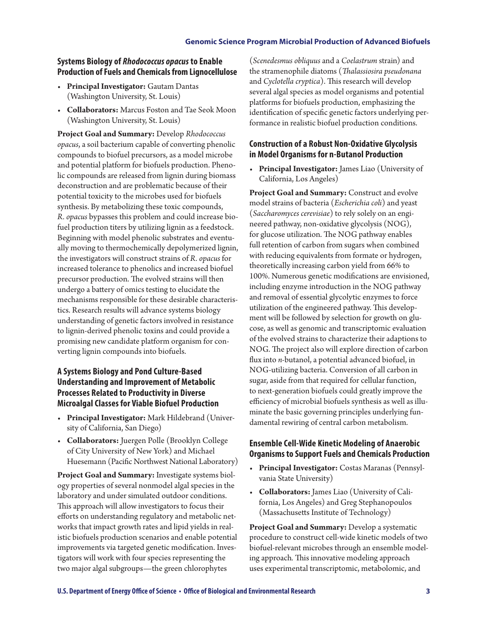#### **Systems Biology of** *Rhodococcus opacus* **to Enable Production of Fuels and Chemicals from Lignocellulose**

- **Principal Investigator:** Gautam Dantas (Washington University, St. Louis)
- **Collaborators:** Marcus Foston and Tae Seok Moon (Washington University, St. Louis)

**Project Goal and Summary:** Develop *Rhodococcus opacus*, a soil bacterium capable of converting phenolic compounds to biofuel precursors, as a model microbe and potential platform for biofuels production. Phenolic compounds are released from lignin during biomass deconstruction and are problematic because of their potential toxicity to the microbes used for biofuels synthesis. By metabolizing these toxic compounds, *R. opacus* bypasses this problem and could increase biofuel production titers by utilizing lignin as a feedstock. Beginning with model phenolic substrates and eventually moving to thermochemically depolymerized lignin, the investigators will construct strains of *R. opacus* for increased tolerance to phenolics and increased biofuel precursor production. The evolved strains will then undergo a battery of omics testing to elucidate the mechanisms responsible for these desirable characteristics. Research results will advance systems biology understanding of genetic factors involved in resistance to lignin-derived phenolic toxins and could provide a promising new candidate platform organism for converting lignin compounds into biofuels.

## **A Systems Biology and Pond Culture-Based Understanding and Improvement of Metabolic Processes Related to Productivity in Diverse Microalgal Classes for Viable Biofuel Production**

- **Principal Investigator:** Mark Hildebrand (University of California, San Diego)
- **Collaborators:** Juergen Polle (Brooklyn College of City University of New York) and Michael Huesemann (Pacific Northwest National Laboratory)

**Project Goal and Summary:** Investigate systems biology properties of several nonmodel algal species in the laboratory and under simulated outdoor conditions. This approach will allow investigators to focus their efforts on understanding regulatory and metabolic networks that impact growth rates and lipid yields in realistic biofuels production scenarios and enable potential improvements via targeted genetic modification. Investigators will work with four species representing the two major algal subgroups—the green chlorophytes

(*Scenedesmus obliquus* and a *Coelastrum* strain) and the stramenophile diatoms (*Thalassiosira pseudonana*  and *Cyclotella cryptica*). This research will develop several algal species as model organisms and potential platforms for biofuels production, emphasizing the identification of specific genetic factors underlying performance in realistic biofuel production conditions.

## **Construction of a Robust Non-Oxidative Glycolysis in Model Organisms for n-Butanol Production**

• **Principal Investigator:** James Liao (University of California, Los Angeles)

**Project Goal and Summary:** Construct and evolve model strains of bacteria (*Escherichia coli*) and yeast (*Saccharomyces cerevisiae*) to rely solely on an engineered pathway, non-oxidative glycolysis (NOG), for glucose utilization. The NOG pathway enables full retention of carbon from sugars when combined with reducing equivalents from formate or hydrogen, theoretically increasing carbon yield from 66% to 100%. Numerous genetic modifications are envisioned, including enzyme introduction in the NOG pathway and removal of essential glycolytic enzymes to force utilization of the engineered pathway. This development will be followed by selection for growth on glucose, as well as genomic and transcriptomic evaluation of the evolved strains to characterize their adaptions to NOG. The project also will explore direction of carbon flux into *n-*butanol, a potential advanced biofuel, in NOG-utilizing bacteria. Conversion of all carbon in sugar, aside from that required for cellular function, to next-generation biofuels could greatly improve the efficiency of microbial biofuels synthesis as well as illuminate the basic governing principles underlying fundamental rewiring of central carbon metabolism.

## **Ensemble Cell-Wide Kinetic Modeling of Anaerobic Organisms to Support Fuels and Chemicals Production**

- **Principal Investigator:** Costas Maranas (Pennsylvania State University)
- **Collaborators:** James Liao (University of California, Los Angeles) and Greg Stephanopoulos (Massachusetts Institute of Technology)

**Project Goal and Summary:** Develop a systematic procedure to construct cell-wide kinetic models of two biofuel-relevant microbes through an ensemble modeling approach*.* This innovative modeling approach uses experimental transcriptomic, metabolomic, and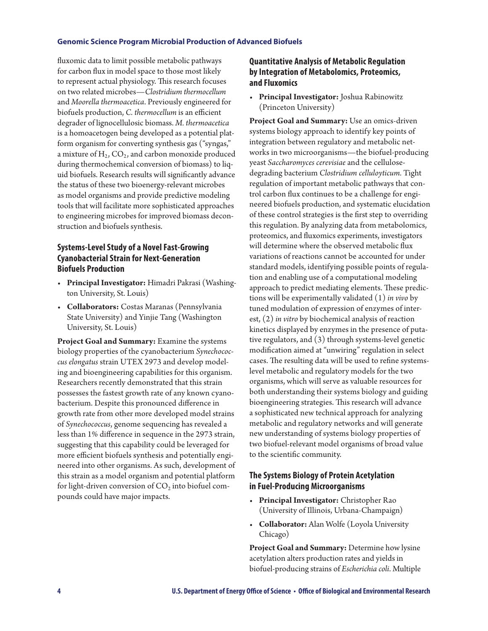fluxomic data to limit possible metabolic pathways for carbon flux in model space to those most likely to represent actual physiology. This research focuses on two related microbes—*Clostridium thermocellum* and *Moorella thermoacetica*. Previously engineered for biofuels production, *C. thermocellum* is an efficient degrader of lignocellulosic biomass. *M. thermoacetica* is a homoacetogen being developed as a potential platform organism for converting synthesis gas ("syngas," a mixture of  $H_2$ ,  $CO_2$ , and carbon monoxide produced during thermochemical conversion of biomass) to liquid biofuels. Research results will significantly advance the status of these two bioenergy-relevant microbes as model organisms and provide predictive modeling tools that will facilitate more sophisticated approaches to engineering microbes for improved biomass deconstruction and biofuels synthesis.

## **Systems-Level Study of a Novel Fast-Growing Cyanobacterial Strain for Next-Generation Biofuels Production**

- **Principal Investigator:** Himadri Pakrasi (Washington University, St. Louis)
- **Collaborators:** Costas Maranas (Pennsylvania State University) and Yinjie Tang (Washington University, St. Louis)

**Project Goal and Summary:** Examine the systems biology properties of the cyanobacterium *Synechococcus elongatus* strain UTEX 2973 and develop modeling and bioengineering capabilities for this organism. Researchers recently demonstrated that this strain possesses the fastest growth rate of any known cyanobacterium. Despite this pronounced difference in growth rate from other more developed model strains of *Synechococcus*, genome sequencing has revealed a less than 1% difference in sequence in the 2973 strain, suggesting that this capability could be leveraged for more efficient biofuels synthesis and potentially engineered into other organisms. As such, development of this strain as a model organism and potential platform for light-driven conversion of  $CO<sub>2</sub>$  into biofuel compounds could have major impacts.

## **Quantitative Analysis of Metabolic Regulation by Integration of Metabolomics, Proteomics, and Fluxomics**

• **Principal Investigator:** Joshua Rabinowitz (Princeton University)

**Project Goal and Summary:** Use an omics-driven systems biology approach to identify key points of integration between regulatory and metabolic networks in two microorganisms—the biofuel-producing yeast *Saccharomyces cerevisiae* and the cellulosedegrading bacterium *Clostridium celluloyticum.* Tight regulation of important metabolic pathways that control carbon flux continues to be a challenge for engineered biofuels production, and systematic elucidation of these control strategies is the first step to overriding this regulation. By analyzing data from metabolomics, proteomics, and fluxomics experiments, investigators will determine where the observed metabolic flux variations of reactions cannot be accounted for under standard models, identifying possible points of regulation and enabling use of a computational modeling approach to predict mediating elements. These predictions will be experimentally validated (1) *in vivo* by tuned modulation of expression of enzymes of interest, (2) *in vitro* by biochemical analysis of reaction kinetics displayed by enzymes in the presence of putative regulators, and (3) through systems-level genetic modification aimed at "unwiring" regulation in select cases. The resulting data will be used to refine systemslevel metabolic and regulatory models for the two organisms, which will serve as valuable resources for both understanding their systems biology and guiding bioengineering strategies. This research will advance a sophisticated new technical approach for analyzing metabolic and regulatory networks and will generate new understanding of systems biology properties of two biofuel-relevant model organisms of broad value to the scientific community.

#### **The Systems Biology of Protein Acetylation in Fuel-Producing Microorganisms**

- **Principal Investigator:** Christopher Rao (University of Illinois, Urbana-Champaign)
- **Collaborator:** Alan Wolfe (Loyola University Chicago)

**Project Goal and Summary:** Determine how lysine acetylation alters production rates and yields in biofuel-producing strains of *Escherichia coli*. Multiple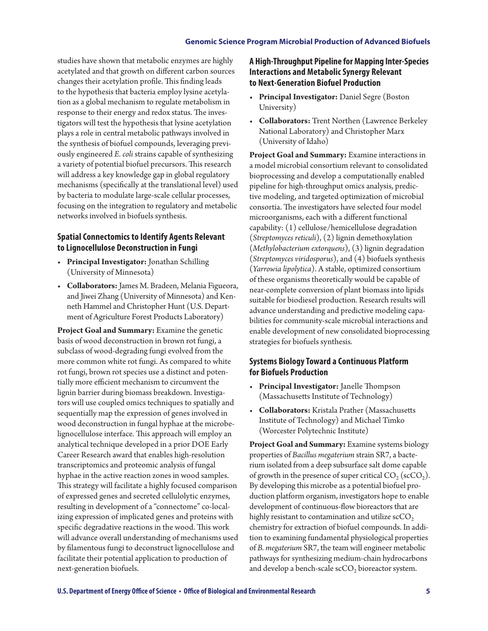studies have shown that metabolic enzymes are highly acetylated and that growth on different carbon sources changes their acetylation profile. This finding leads to the hypothesis that bacteria employ lysine acetylation as a global mechanism to regulate metabolism in response to their energy and redox status. The investigators will test the hypothesis that lysine acetylation plays a role in central metabolic pathways involved in the synthesis of biofuel compounds, leveraging previously engineered *E. coli* strains capable of synthesizing a variety of potential biofuel precursors. This research will address a key knowledge gap in global regulatory mechanisms (specifically at the translational level) used by bacteria to modulate large-scale cellular processes, focusing on the integration to regulatory and metabolic networks involved in biofuels synthesis.

## **Spatial Connectomics to Identify Agents Relevant to Lignocellulose Deconstruction in Fungi**

- **Principal Investigator:** Jonathan Schilling (University of Minnesota)
- **Collaborators:** James M. Bradeen, Melania Figueora, and Jiwei Zhang (University of Minnesota) and Kenneth Hammel and Christopher Hunt (U.S. Department of Agriculture Forest Products Laboratory)

**Project Goal and Summary:** Examine the genetic basis of wood deconstruction in brown rot fungi, a subclass of wood-degrading fungi evolved from the more common white rot fungi. As compared to white rot fungi, brown rot species use a distinct and potentially more efficient mechanism to circumvent the lignin barrier during biomass breakdown. Investigators will use coupled omics techniques to spatially and sequentially map the expression of genes involved in wood deconstruction in fungal hyphae at the microbelignocellulose interface. This approach will employ an analytical technique developed in a prior DOE Early Career Research award that enables high-resolution transcriptomics and proteomic analysis of fungal hyphae in the active reaction zones in wood samples. This strategy will facilitate a highly focused comparison of expressed genes and secreted cellulolytic enzymes, resulting in development of a "connectome" co-localizing expression of implicated genes and proteins with specific degradative reactions in the wood. This work will advance overall understanding of mechanisms used by filamentous fungi to deconstruct lignocellulose and facilitate their potential application to production of next-generation biofuels.

## **A High-Throughput Pipeline for Mapping Inter-Species Interactions and Metabolic Synergy Relevant to Next-Generation Biofuel Production**

- **Principal Investigator:** Daniel Segre (Boston University)
- **Collaborators:** Trent Northen (Lawrence Berkeley National Laboratory) and Christopher Marx (University of Idaho)

**Project Goal and Summary:** Examine interactions in a model microbial consortium relevant to consolidated bioprocessing and develop a computationally enabled pipeline for high-throughput omics analysis, predictive modeling, and targeted optimization of microbial consortia. The investigators have selected four model microorganisms, each with a different functional capability: (1) cellulose/hemicellulose degradation (*Streptomyces reticuli*), (2) lignin demethoxylation (*Methylobacterium extorquens*), (3) lignin degradation (*Streptomyces viridosporus*), and (4) biofuels synthesis (*Yarrowia lipolytica*). A stable, optimized consortium of these organisms theoretically would be capable of near-complete conversion of plant biomass into lipids suitable for biodiesel production. Research results will advance understanding and predictive modeling capabilities for community-scale microbial interactions and enable development of new consolidated bioprocessing strategies for biofuels synthesis.

## **Systems Biology Toward a Continuous Platform for Biofuels Production**

- **Principal Investigator:** Janelle Thompson (Massachusetts Institute of Technology)
- **Collaborators:** Kristala Prather (Massachusetts Institute of Technology) and Michael Timko (Worcester Polytechnic Institute)

**Project Goal and Summary:** Examine systems biology properties of *Bacillus megaterium* strain SR7, a bacterium isolated from a deep subsurface salt dome capable of growth in the presence of super critical  $CO_2$  (scCO<sub>2</sub>). By developing this microbe as a potential biofuel production platform organism, investigators hope to enable development of continuous-flow bioreactors that are highly resistant to contamination and utilize  $\mathrm{scCO}_2$ chemistry for extraction of biofuel compounds. In addition to examining fundamental physiological properties of *B. megaterium* SR7, the team will engineer metabolic pathways for synthesizing medium-chain hydrocarbons and develop a bench-scale  $\mathrm{s}\mathrm{c}\mathrm{C}\mathrm{O}_2$  bioreactor system.